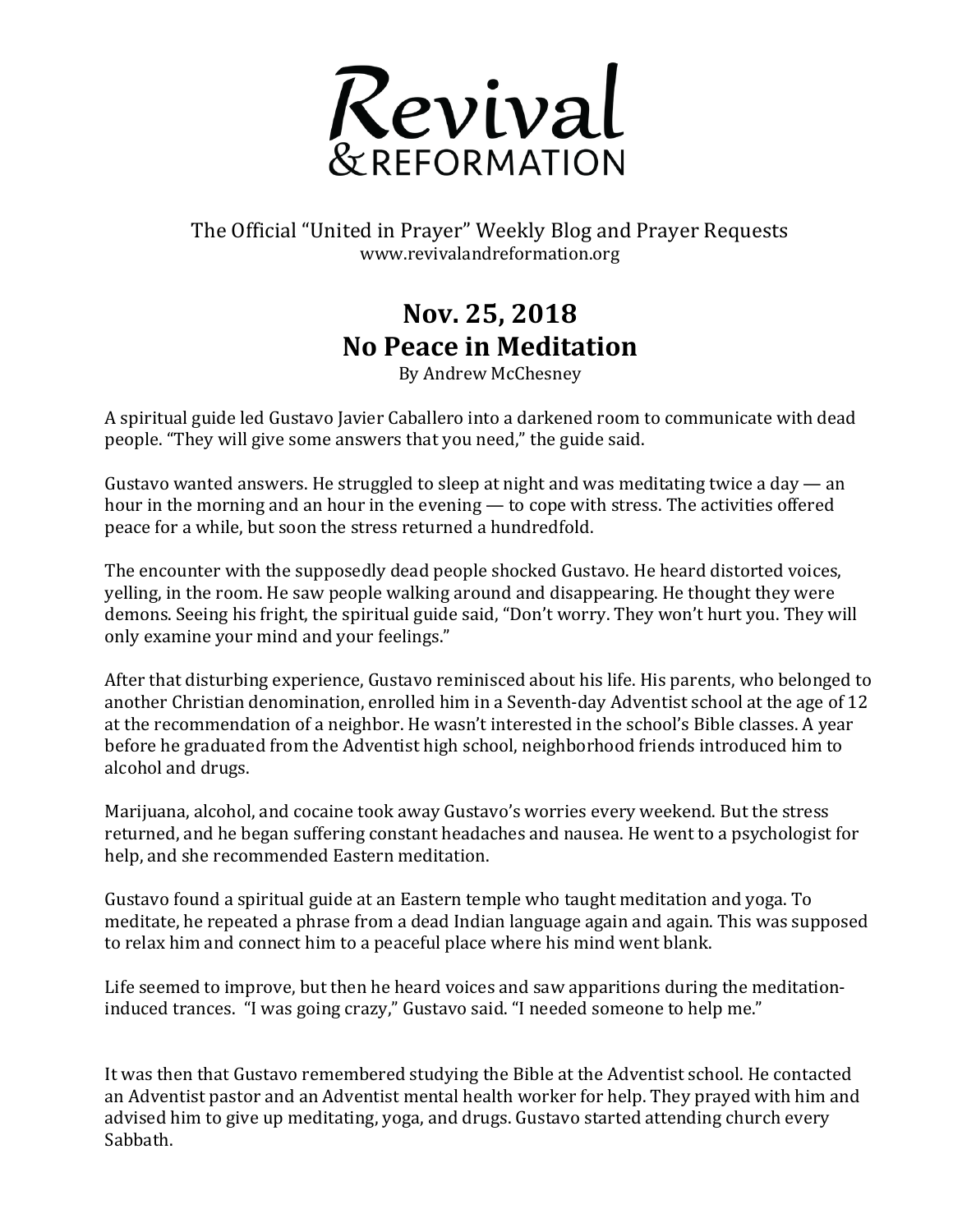

The Official "United in Prayer" Weekly Blog and Prayer Requests www.revivalandreformation.org

## **Nov. 25, 2018 No Peace in Meditation**

By Andrew McChesney

A spiritual guide led Gustavo Javier Caballero into a darkened room to communicate with dead people. "They will give some answers that you need," the guide said.

Gustavo wanted answers. He struggled to sleep at night and was meditating twice a day — an hour in the morning and an hour in the evening — to cope with stress. The activities offered peace for a while, but soon the stress returned a hundredfold.

The encounter with the supposedly dead people shocked Gustavo. He heard distorted voices, yelling, in the room. He saw people walking around and disappearing. He thought they were demons. Seeing his fright, the spiritual guide said, "Don't worry. They won't hurt you. They will only examine your mind and your feelings."

After that disturbing experience, Gustavo reminisced about his life. His parents, who belonged to another Christian denomination, enrolled him in a Seventh-day Adventist school at the age of 12 at the recommendation of a neighbor. He wasn't interested in the school's Bible classes. A year before he graduated from the Adventist high school, neighborhood friends introduced him to alcohol and drugs.

Marijuana, alcohol, and cocaine took away Gustavo's worries every weekend. But the stress returned, and he began suffering constant headaches and nausea. He went to a psychologist for help, and she recommended Eastern meditation.

Gustavo found a spiritual guide at an Eastern temple who taught meditation and yoga. To meditate, he repeated a phrase from a dead Indian language again and again. This was supposed to relax him and connect him to a peaceful place where his mind went blank.

Life seemed to improve, but then he heard voices and saw apparitions during the meditationinduced trances. "I was going crazy," Gustavo said. "I needed someone to help me."

It was then that Gustavo remembered studying the Bible at the Adventist school. He contacted an Adventist pastor and an Adventist mental health worker for help. They prayed with him and advised him to give up meditating, yoga, and drugs. Gustavo started attending church every Sabbath.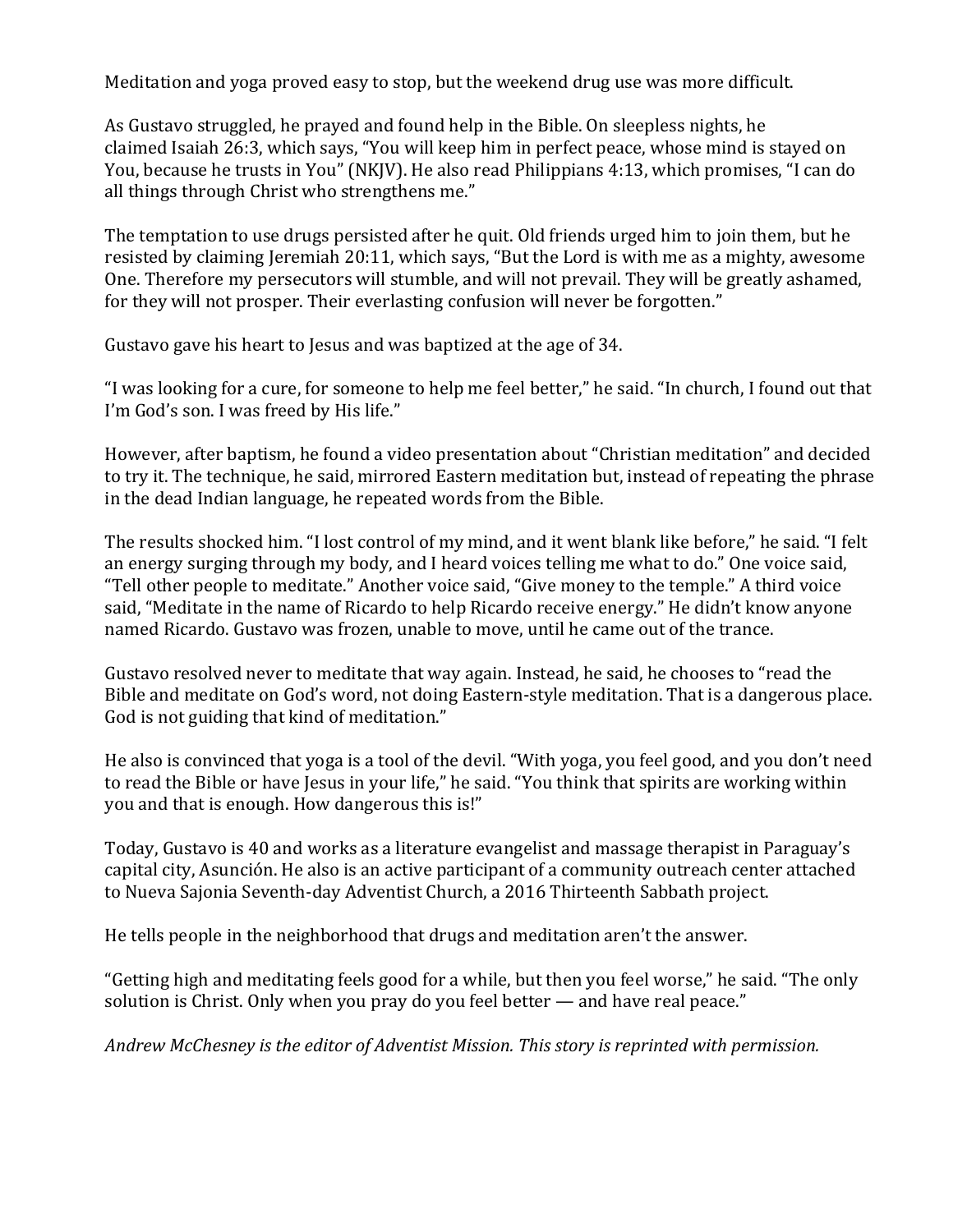Meditation and yoga proved easy to stop, but the weekend drug use was more difficult.

As Gustavo struggled, he prayed and found help in the Bible. On sleepless nights, he claimed Isaiah 26:3, which says, "You will keep him in perfect peace, whose mind is stayed on You, because he trusts in You" (NKJV). He also read Philippians 4:13, which promises, "I can do all things through Christ who strengthens me."

The temptation to use drugs persisted after he quit. Old friends urged him to join them, but he resisted by claiming Jeremiah 20:11, which says, "But the Lord is with me as a mighty, awesome One. Therefore my persecutors will stumble, and will not prevail. They will be greatly ashamed, for they will not prosper. Their everlasting confusion will never be forgotten."

Gustavo gave his heart to Jesus and was baptized at the age of 34.

"I was looking for a cure, for someone to help me feel better," he said. "In church, I found out that I'm God's son. I was freed by His life."

However, after baptism, he found a video presentation about "Christian meditation" and decided to try it. The technique, he said, mirrored Eastern meditation but, instead of repeating the phrase in the dead Indian language, he repeated words from the Bible.

The results shocked him. "I lost control of my mind, and it went blank like before," he said. "I felt an energy surging through my body, and I heard voices telling me what to do." One voice said, "Tell other people to meditate." Another voice said, "Give money to the temple." A third voice said, "Meditate in the name of Ricardo to help Ricardo receive energy." He didn't know anyone named Ricardo. Gustavo was frozen, unable to move, until he came out of the trance.

Gustavo resolved never to meditate that way again. Instead, he said, he chooses to "read the Bible and meditate on God's word, not doing Eastern-style meditation. That is a dangerous place. God is not guiding that kind of meditation."

He also is convinced that yoga is a tool of the devil. "With yoga, you feel good, and you don't need to read the Bible or have Jesus in your life," he said. "You think that spirits are working within you and that is enough. How dangerous this is!"

Today, Gustavo is 40 and works as a literature evangelist and massage therapist in Paraguay's capital city, Asunción. He also is an active participant of a community outreach center attached to Nueva Sajonia Seventh-day Adventist Church, a 2016 Thirteenth Sabbath project.

He tells people in the neighborhood that drugs and meditation aren't the answer.

"Getting high and meditating feels good for a while, but then you feel worse," he said. "The only solution is Christ. Only when you pray do you feel better  $-$  and have real peace."

Andrew McChesney is the editor of Adventist Mission. This story is reprinted with permission.